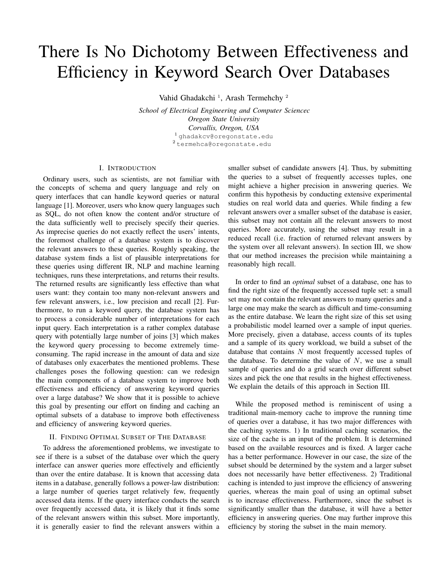# There Is No Dichotomy Between Effectiveness and Efficiency in Keyword Search Over Databases

Vahid Ghadakchi<sup>1</sup>, Arash Termehchy<sup>2</sup>

*School of Electrical Engineering and Computer Sciencec Oregon State University Corvallis, Oregon, USA* <sup>1</sup> ghadakcv@oregonstate.edu <sup>2</sup> termehca@oregonstate.edu

## I. INTRODUCTION

Ordinary users, such as scientists, are not familiar with the concepts of schema and query language and rely on query interfaces that can handle keyword queries or natural language [1]. Moreover, users who know query languages such as SQL, do not often know the content and/or structure of the data sufficiently well to precisely specify their queries. As imprecise queries do not exactly reflect the users' intents, the foremost challenge of a database system is to discover the relevant answers to these queries. Roughly speaking, the database system finds a list of plausible interpretations for these queries using different IR, NLP and machine learning techniques, runs these interpretations, and returns their results. The returned results are significantly less effective than what users want: they contain too many non-relevant answers and few relevant answers, i.e., low precision and recall [2]. Furthermore, to run a keyword query, the database system has to process a considerable number of interpretations for each input query. Each interpretation is a rather complex database query with potentially large number of joins [3] which makes the keyword query processing to become extremely timeconsuming. The rapid increase in the amount of data and size of databases only exacerbates the mentioned problems. These challenges poses the following question: can we redesign the main components of a database system to improve both effectiveness and efficiency of answering keyword queries over a large database? We show that it is possible to achieve this goal by presenting our effort on finding and caching an optimal subsets of a database to improve both effectiveness and efficiency of answering keyword queries.

## II. FINDING OPTIMAL SUBSET OF THE DATABASE

To address the aforementioned problems, we investigate to see if there is a subset of the database over which the query interface can answer queries more effectively and efficiently than over the entire database. It is known that accessing data items in a database, generally follows a power-law distribution: a large number of queries target relatively few, frequently accessed data items. If the query interface conducts the search over frequently accessed data, it is likely that it finds some of the relevant answers within this subset. More importantly, it is generally easier to find the relevant answers within a smaller subset of candidate answers [4]. Thus, by submitting the queries to a subset of frequently accesses tuples, one might achieve a higher precision in answering queries. We confirm this hypothesis by conducting extensive experimental studies on real world data and queries. While finding a few relevant answers over a smaller subset of the database is easier, this subset may not contain all the relevant answers to most queries. More accurately, using the subset may result in a reduced recall (i.e. fraction of returned relevant answers by the system over all relevant answers). In section III, we show that our method increases the precision while maintaining a reasonably high recall.

In order to find an *optimal* subset of a database, one has to find the right size of the frequently accessed tuple set: a small set may not contain the relevant answers to many queries and a large one may make the search as difficult and time-consuming as the entire database. We learn the right size of this set using a probabilistic model learned over a sample of input queries. More precisely, given a database, access counts of its tuples and a sample of its query workload, we build a subset of the database that contains N most frequently accessed tuples of the database. To determine the value of  $N$ , we use a small sample of queries and do a grid search over different subset sizes and pick the one that results in the highest effectiveness. We explain the details of this approach in Section III.

While the proposed method is reminiscent of using a traditional main-memory cache to improve the running time of queries over a database, it has two major differences with the caching systems. 1) In traditional caching scenarios, the size of the cache is an input of the problem. It is determined based on the available resources and is fixed. A larger cache has a better performance. However in our case, the size of the subset should be determined by the system and a larger subset does not necessarily have better effectiveness. 2) Traditional caching is intended to just improve the efficiency of answering queries, whereas the main goal of using an optimal subset is to increase effectiveness. Furthermore, since the subset is significantly smaller than the database, it will have a better efficiency in answering queries. One may further improve this efficiency by storing the subset in the main memory.